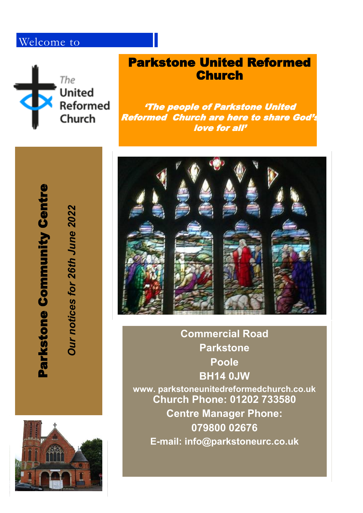# Welcome to



## Parkstone United Reformed **Church**

'The people of Parkstone United Reformed Church are here to share God's love for all'



**Commercial Road Parkstone Poole BH14 0JW www. parkstoneunitedreformedchurch.co.uk Church Phone: 01202 733580 Centre Manager Phone: 079800 02676 E -mail: info@parkstoneurc.co.uk**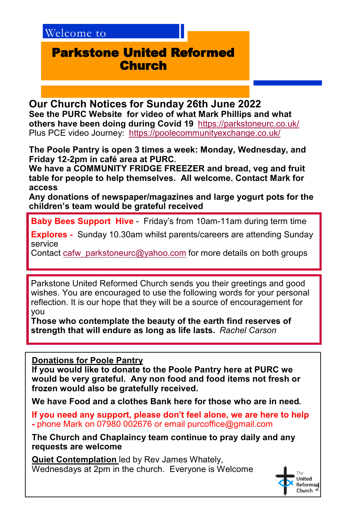### Parkstone United Reformed **Church**

**Our Church Notices for Sunday 26th June 2022 See the PURC Website for video of what Mark Phillips and what others have been doing during Covid 19** <https://parkstoneurc.co.uk/> Plus PCE video Journey: <https://poolecommunityexchange.co.uk/>

**The Poole Pantry is open 3 times a week: Monday, Wednesday, and Friday 12-2pm in café area at PURC.** 

**We have a COMMUNITY FRIDGE FREEZER and bread, veg and fruit table for people to help themselves. All welcome. Contact Mark for access**

**Any donations of newspaper/magazines and large yogurt pots for the children's team would be grateful received**

**Baby Bees Support Hive** - Friday's from 10am-11am during term time

**Explores -** Sunday 10.30am whilst parents/careers are attending Sunday service

Contact [cafw\\_parkstoneurc@yahoo.com](mailto:cafw_parkstoneurc@yahoo.com) for more details on both groups

Parkstone United Reformed Church sends you their greetings and good wishes. You are encouraged to use the following words for your personal reflection. It is our hope that they will be a source of encouragement for you

**Those who contemplate the beauty of the earth find reserves of strength that will endure as long as life lasts.** *Rachel Carson*

**Donations for Poole Pantry**

**If you would like to donate to the Poole Pantry here at PURC we would be very grateful. Any non food and food items not fresh or frozen would also be gratefully received.**

**We have Food and a clothes Bank here for those who are in need.**

**If you need any support, please don't feel alone, we are here to help -** phone Mark on 07980 002676 or email purcoffice@gmail.com

**The Church and Chaplaincy team continue to pray daily and any requests are welcome** 

**Quiet Contemplation** led by Rev James Whately, Wednesdays at 2pm in the church. Everyone is Welcome

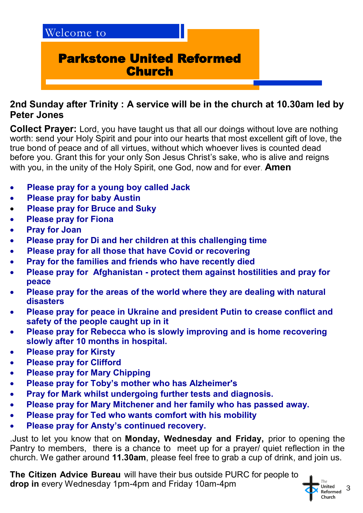

#### **2nd Sunday after Trinity : A service will be in the church at 10.30am led by Peter Jones**

**Collect Prayer:** Lord, you have taught us that all our doings without love are nothing worth: send your Holy Spirit and pour into our hearts that most excellent gift of love, the true bond of peace and of all virtues, without which whoever lives is counted dead before you. Grant this for your only Son Jesus Christ's sake, who is alive and reigns with you, in the unity of the Holy Spirit, one God, now and for ever. **Amen**

- **Please pray for a young boy called Jack**
- **Please pray for baby Austin**
- **Please pray for Bruce and Suky**
- **Please pray for Fiona**
- **Pray for Joan**
- **Please pray for Di and her children at this challenging time**
- **Please pray for all those that have Covid or recovering**
- **Pray for the families and friends who have recently died**
- **Please pray for Afghanistan - protect them against hostilities and pray for peace**
- **Please pray for the areas of the world where they are dealing with natural disasters**
- **Please pray for peace in Ukraine and president Putin to crease conflict and safety of the people caught up in it**
- **Please pray for Rebecca who is slowly improving and is home recovering slowly after 10 months in hospital.**
- **Please pray for Kirsty**
- **Please pray for Clifford**
- **Please pray for Mary Chipping**
- **Please pray for Toby's mother who has Alzheimer's**
- **Pray for Mark whilst undergoing further tests and diagnosis.**
- **Please pray for Mary Mitchener and her family who has passed away.**
- **Please pray for Ted who wants comfort with his mobility**
- **Please pray for Ansty's continued recovery.**

.Just to let you know that on **Monday, Wednesday and Friday,** prior to opening the Pantry to members, there is a chance to meet up for a prayer/ quiet reflection in the church. We gather around **11.30am**, please feel free to grab a cup of drink, and join us.

**The Citizen Advice Bureau** will have their bus outside PURC for people to **drop in** every Wednesday 1pm-4pm and Friday 10am-4pm